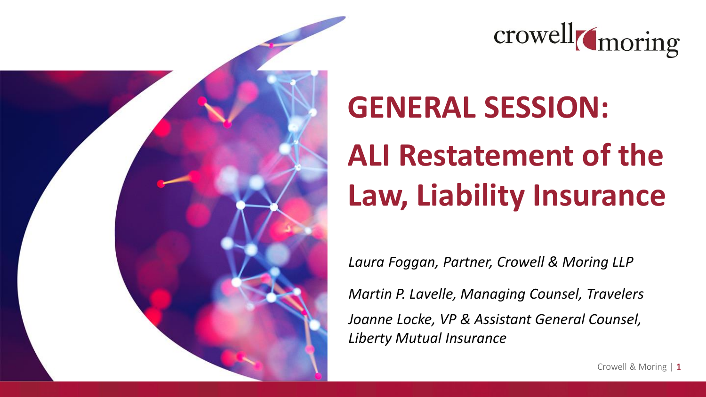



#### **GENERAL SESSION:**

# **ALI Restatement of the Law, Liability Insurance**

*Laura Foggan, Partner, Crowell & Moring LLP*

*Martin P. Lavelle, Managing Counsel, Travelers Joanne Locke, VP & Assistant General Counsel, Liberty Mutual Insurance*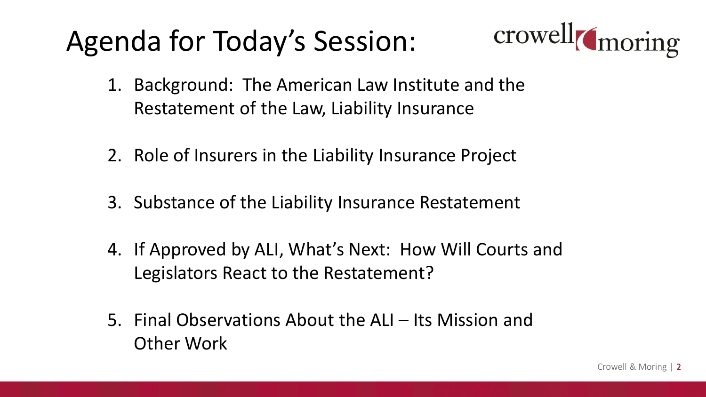#### Agenda for Today's Session:



- 1. Background: The American Law Institute and the Restatement of the Law, Liability Insurance
- 2. Role of Insurers in the Liability Insurance Project
- 3. Substance of the Liability Insurance Restatement
- 4. If Approved by ALI, What's Next: How Will Courts and Legislators React to the Restatement?
- 5. Final Observations About the ALI Its Mission and Other Work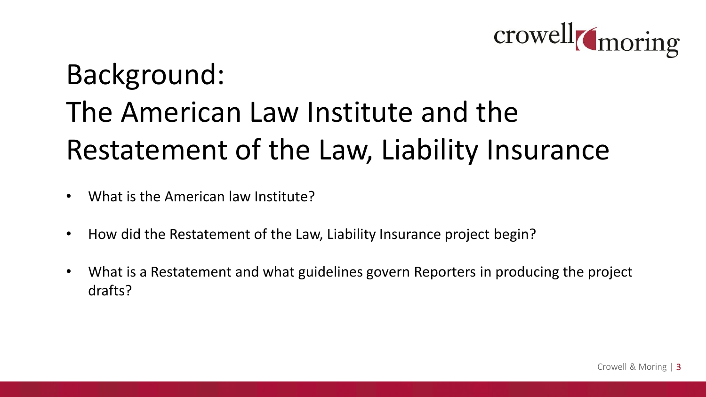

## Background: The American Law Institute and the Restatement of the Law, Liability Insurance

- What is the American law Institute?
- How did the Restatement of the Law, Liability Insurance project begin?
- What is a Restatement and what guidelines govern Reporters in producing the project drafts?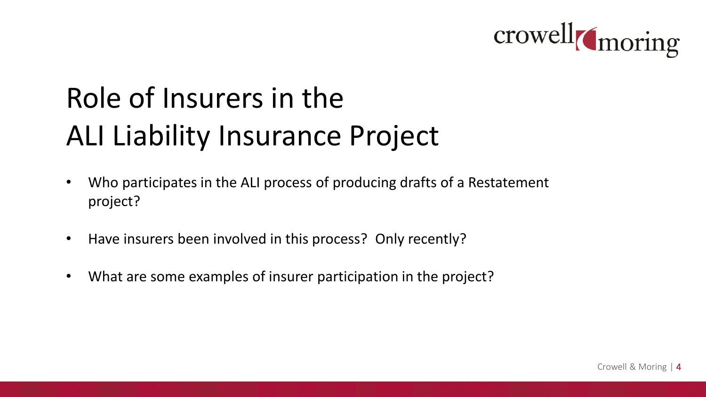

### Role of Insurers in the ALI Liability Insurance Project

- Who participates in the ALI process of producing drafts of a Restatement project?
- Have insurers been involved in this process? Only recently?
- What are some examples of insurer participation in the project?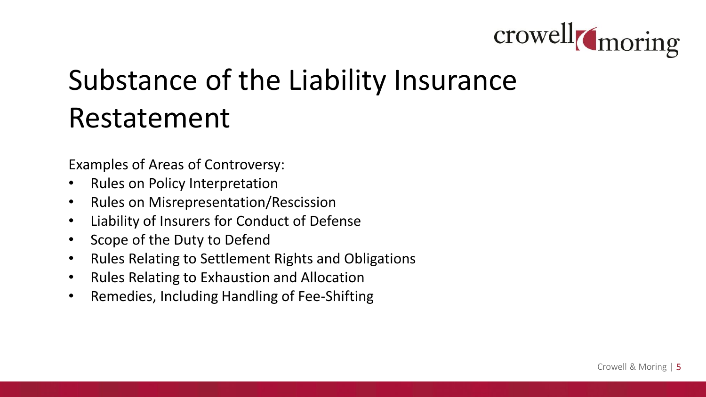

#### Substance of the Liability Insurance Restatement

Examples of Areas of Controversy:

- Rules on Policy Interpretation
- Rules on Misrepresentation/Rescission
- Liability of Insurers for Conduct of Defense
- Scope of the Duty to Defend
- Rules Relating to Settlement Rights and Obligations
- Rules Relating to Exhaustion and Allocation
- Remedies, Including Handling of Fee-Shifting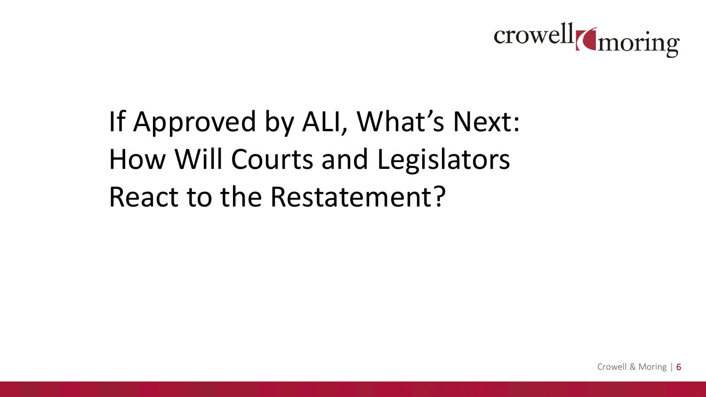

### If Approved by ALI, What's Next: How Will Courts and Legislators React to the Restatement?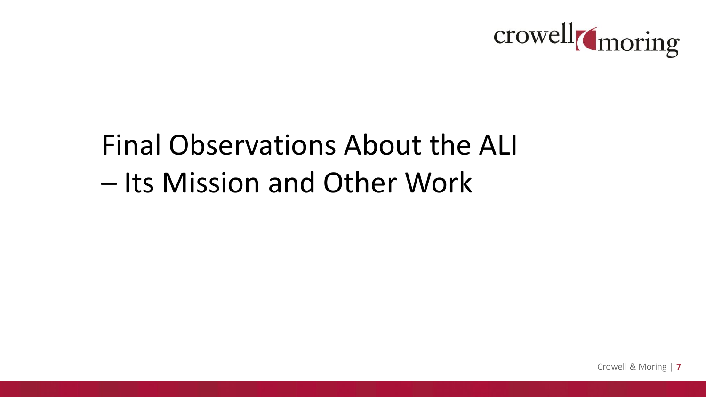

### Final Observations About the ALI – Its Mission and Other Work